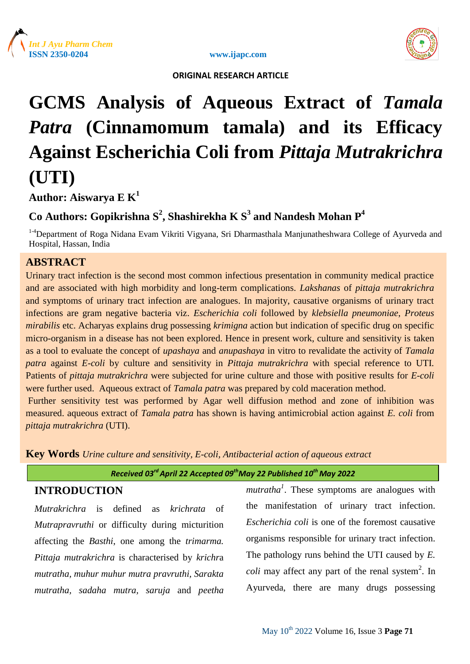



# **GCMS Analysis of Aqueous Extract of** *Tamala Patra* **(Cinnamomum tamala) and its Efficacy Against Escherichia Coli from** *Pittaja Mutrakrichra* **(UTI)**

# **Author: Aiswarya E K 1**

# **Co Authors: Gopikrishna S<sup>2</sup> , Shashirekha K S<sup>3</sup> and Nandesh Mohan P<sup>4</sup>**

<sup>1-4</sup>Department of Roga Nidana Evam Vikriti Vigyana, Sri Dharmasthala Manjunatheshwara College of Ayurveda and Hospital, Hassan, India

## **ABSTRACT**

Urinary tract infection is the second most common infectious presentation in community medical practice and are associated with high morbidity and long-term complications. *Lakshanas* of *pittaja mutrakrichra* and symptoms of urinary tract infection are analogues. In majority, causative organisms of urinary tract infections are gram negative bacteria viz. *Escherichia coli* followed by *klebsiella pneumoniae*, *Proteus mirabilis* etc. Acharyas explains drug possessing *krimigna* action but indication of specific drug on specific micro-organism in a disease has not been explored. Hence in present work, culture and sensitivity is taken as a tool to evaluate the concept of *upashaya* and *anupashaya* in vitro to revalidate the activity of *Tamala patra* against *E-coli* by culture and sensitivity in *Pittaja mutrakrichra* with special reference to UTI. Patients of *pittaja mutrakrichra* were subjected for urine culture and those with positive results for *E-coli* were further used. Aqueous extract of *Tamala patra* was prepared by cold maceration method. Further sensitivity test was performed by Agar well diffusion method and zone of inhibition was

measured. aqueous extract of *Tamala patra* has shown is having antimicrobial action against *E. coli* from *pittaja mutrakrichra* (UTI).

**Key Words** *Urine culture and sensitivity, E-coli, Antibacterial action of aqueous extract*

*Received 03rd April 22 Accepted 09thMay 22 Published 10th May 2022*

### **INTRODUCTION**

*Mutrakrichra* is defined as *krichrata* of *Mutrapravruthi* or difficulty during micturition affecting the *Basthi*, one among the *trimarma. Pittaja mutrakrichra* is characterised by *krichr*a *mutratha, muhur muhur mutra pravruthi, Sarakta mutratha, sadaha mutra, saruja* and *peetha* 

*mutratha<sup>1</sup>* . These symptoms are analogues with the manifestation of urinary tract infection. *Escherichia coli* is one of the foremost causative organisms responsible for urinary tract infection. The pathology runs behind the UTI caused by *E. coli* may affect any part of the renal system<sup>2</sup>. In Ayurveda, there are many drugs possessing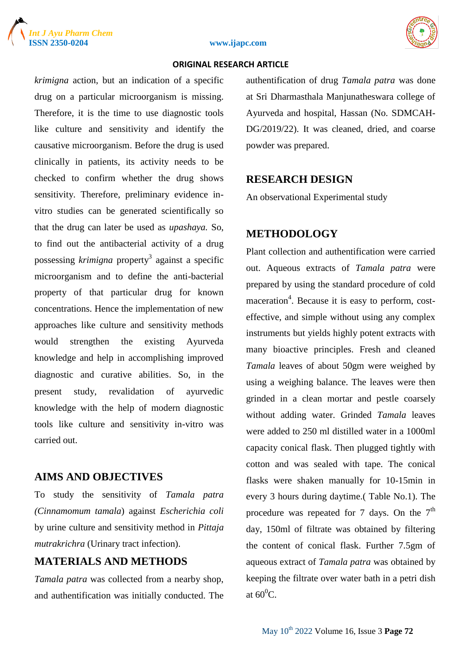





*krimigna* action, but an indication of a specific drug on a particular microorganism is missing. Therefore, it is the time to use diagnostic tools like culture and sensitivity and identify the causative microorganism. Before the drug is used clinically in patients, its activity needs to be checked to confirm whether the drug shows sensitivity. Therefore, preliminary evidence invitro studies can be generated scientifically so that the drug can later be used as *upashaya.* So, to find out the antibacterial activity of a drug possessing *krimigna* property<sup>3</sup> against a specific microorganism and to define the anti-bacterial property of that particular drug for known concentrations. Hence the implementation of new approaches like culture and sensitivity methods would strengthen the existing Ayurveda knowledge and help in accomplishing improved diagnostic and curative abilities. So, in the present study, revalidation of ayurvedic knowledge with the help of modern diagnostic tools like culture and sensitivity in-vitro was carried out.

#### **AIMS AND OBJECTIVES**

To study the sensitivity of *Tamala patra (Cinnamomum tamala*) against *Escherichia coli* by urine culture and sensitivity method in *Pittaja mutrakrichra* (Urinary tract infection).

#### **MATERIALS AND METHODS**

*Tamala patra* was collected from a nearby shop, and authentification was initially conducted. The authentification of drug *Tamala patra* was done at Sri Dharmasthala Manjunatheswara college of Ayurveda and hospital, Hassan (No. SDMCAH-DG/2019/22). It was cleaned, dried, and coarse powder was prepared.

#### **RESEARCH DESIGN**

An observational Experimental study

#### **METHODOLOGY**

Plant collection and authentification were carried out. Aqueous extracts of *Tamala patra* were prepared by using the standard procedure of cold maceration<sup>4</sup>. Because it is easy to perform, costeffective, and simple without using any complex instruments but yields highly potent extracts with many bioactive principles. Fresh and cleaned *Tamala* leaves of about 50gm were weighed by using a weighing balance. The leaves were then grinded in a clean mortar and pestle coarsely without adding water. Grinded *Tamala* leaves were added to 250 ml distilled water in a 1000ml capacity conical flask. Then plugged tightly with cotton and was sealed with tape. The conical flasks were shaken manually for 10-15min in every 3 hours during daytime.( Table No.1). The procedure was repeated for 7 days. On the  $7<sup>th</sup>$ day, 150ml of filtrate was obtained by filtering the content of conical flask. Further 7.5gm of aqueous extract of *Tamala patra* was obtained by keeping the filtrate over water bath in a petri dish at  $60^0C$ .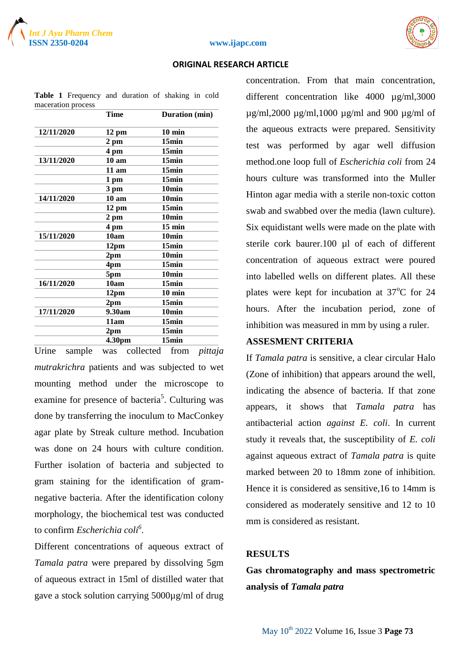



#### **ISSN 2350-0204 www.ijapc.com**

#### **ORIGINAL RESEARCH ARTICLE**

|            | <b>Time</b>      | Duration (min)    |
|------------|------------------|-------------------|
| 12/11/2020 | 12 pm            | $10 \text{ min}$  |
|            | $2 \text{ pm}$   | 15min             |
|            | 4 pm             | 15min             |
| 13/11/2020 | 10 <sub>am</sub> | 15min             |
|            | $11$ am          | 15min             |
|            | 1 pm             | 15min             |
|            | 3 pm             | 10min             |
| 14/11/2020 | 10 <sub>am</sub> | 10min             |
|            | 12 pm            | 15min             |
|            | $2 \text{ pm}$   | 10 <sub>min</sub> |
|            | 4 pm             | $15$ min          |
| 15/11/2020 | 10am             | 10min             |
|            | 12pm             | 15min             |
|            | 2 <sub>pm</sub>  | 10 <sub>min</sub> |
|            | 4pm              | 15min             |
|            | 5pm              | 10 <sub>min</sub> |
| 16/11/2020 | 10am             | 15min             |
|            | 12pm             | $10$ min          |
|            | 2 <sub>pm</sub>  | 15min             |
| 17/11/2020 | 9.30am           | 10min             |
|            | 11am             | 15min             |
|            | 2 <sub>pm</sub>  | 15min             |
|            | 4.30pm           | 15min             |

**Table 1** Frequency and duration of shaking in cold maceration process

Urine sample was collected from *pittaja mutrakrichra* patients and was subjected to wet mounting method under the microscope to examine for presence of bacteria<sup>5</sup>. Culturing was done by transferring the inoculum to MacConkey agar plate by Streak culture method. Incubation was done on 24 hours with culture condition. Further isolation of bacteria and subjected to gram staining for the identification of gramnegative bacteria. After the identification colony morphology, the biochemical test was conducted to confirm *Escherichia coli<sup>6</sup> .*

Different concentrations of aqueous extract of *Tamala patra* were prepared by dissolving 5gm of aqueous extract in 15ml of distilled water that gave a stock solution carrying 5000µg/ml of drug

concentration. From that main concentration, different concentration like 4000 µg/ml,3000  $\mu$ g/ml,2000  $\mu$ g/ml,1000  $\mu$ g/ml and 900  $\mu$ g/ml of the aqueous extracts were prepared. Sensitivity test was performed by agar well diffusion method.one loop full of *Escherichia coli* from 24 hours culture was transformed into the Muller Hinton agar media with a sterile non-toxic cotton swab and swabbed over the media (lawn culture). Six equidistant wells were made on the plate with sterile cork baurer.100 µl of each of different concentration of aqueous extract were poured into labelled wells on different plates. All these plates were kept for incubation at  $37^{\circ}$ C for 24 hours. After the incubation period, zone of inhibition was measured in mm by using a ruler.

#### **ASSESMENT CRITERIA**

If *Tamala patra* is sensitive, a clear circular Halo (Zone of inhibition) that appears around the well, indicating the absence of bacteria. If that zone appears, it shows that *Tamala patra* has antibacterial action *against E. coli*. In current study it reveals that, the susceptibility of *E. coli* against aqueous extract of *Tamala patra* is quite marked between 20 to 18mm zone of inhibition. Hence it is considered as sensitive,16 to 14mm is considered as moderately sensitive and 12 to 10 mm is considered as resistant.

#### **RESULTS**

**Gas chromatography and mass spectrometric analysis of** *Tamala patra*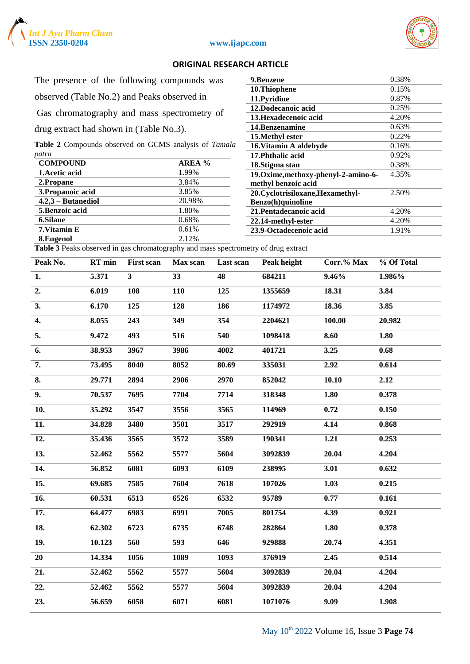



The presence of the following compounds was

observed (Table No.2) and Peaks observed in

Gas chromatography and mass spectrometry of

drug extract had shown in (Table No.3).

**Table 2** Compounds observed on GCMS analysis of *Tamala patra*

| <b>COMPOUND</b>      | AREA % |
|----------------------|--------|
| 1. Acetic acid       | 1.99%  |
| 2.Propane            | 3.84%  |
| 3. Propanoic acid    | 3.85%  |
| $4.2,3$ – Butanediol | 20.98% |
| 5. Benzoic acid      | 1.80%  |
| <b>6.Silane</b>      | 0.68%  |
| 7. Vitamin E         | 0.61%  |
| 8. Eugenol           | 2.12%  |
| muanii 1' 1' 1' 1    |        |

| 9.Benzene                            | 0.38% |
|--------------------------------------|-------|
| 10.Thiophene                         | 0.15% |
| 11.Pyridine                          | 0.87% |
| 12.Dodecanoic acid                   | 0.25% |
| 13. Hexadecenoic acid                | 4.20% |
| 14. Benzenamine                      | 0.63% |
| 15. Methyl ester                     | 0.22% |
| 16. Vitamin A aldehyde               | 0.16% |
| 17. Phthalic acid                    | 0.92% |
| 18. Stigma stan                      | 0.38% |
| 19. Oxime, methoxy-phenyl-2-amino-6- | 4.35% |
| methyl benzoic acid                  |       |
| 20. Cyclotrisiloxane, Hexamethyl-    | 2.50% |
| Benzo(h)quinoline                    |       |
| 21. Pentadecanoic acid               | 4.20% |
| 22.14-methyl-ester                   | 4.20% |
| 23.9-Octadecenoic acid               | 1.91% |

**Table 3** Peaks observed in gas chromatography and mass spectrometry of drug extract

| Peak No. | RT min | <b>First scan</b> | Max scan   | Last scan | Peak height | Corr.% Max | % Of Total |
|----------|--------|-------------------|------------|-----------|-------------|------------|------------|
| 1.       | 5.371  | 3 <sup>7</sup>    | 33         | 48        | 684211      | $9.46\%$   | 1.986%     |
| 2.       | 6.019  | 108               | <b>110</b> | 125       | 1355659     | 18.31      | 3.84       |
| 3.       | 6.170  | 125               | 128        | 186       | 1174972     | 18.36      | 3.85       |
| 4.       | 8.055  | 243               | 349        | 354       | 2204621     | 100.00     | 20.982     |
| 5.       | 9.472  | 493               | 516        | 540       | 1098418     | 8.60       | 1.80       |
| 6.       | 38.953 | 3967              | 3986       | 4002      | 401721      | 3.25       | 0.68       |
| 7.       | 73.495 | 8040              | 8052       | 80.69     | 335031      | 2.92       | 0.614      |
| 8.       | 29.771 | 2894              | 2906       | 2970      | 852042      | 10.10      | 2.12       |
| 9.       | 70.537 | 7695              | 7704       | 7714      | 318348      | 1.80       | 0.378      |
| 10.      | 35.292 | 3547              | 3556       | 3565      | 114969      | 0.72       | 0.150      |
| 11.      | 34.828 | 3480              | 3501       | 3517      | 292919      | 4.14       | 0.868      |
| 12.      | 35.436 | 3565              | 3572       | 3589      | 190341      | 1.21       | 0.253      |
| 13.      | 52.462 | 5562              | 5577       | 5604      | 3092839     | 20.04      | 4.204      |
| 14.      | 56.852 | 6081              | 6093       | 6109      | 238995      | 3.01       | 0.632      |
| 15.      | 69.685 | 7585              | 7604       | 7618      | 107026      | 1.03       | 0.215      |
| 16.      | 60.531 | 6513              | 6526       | 6532      | 95789       | 0.77       | 0.161      |
| 17.      | 64.477 | 6983              | 6991       | 7005      | 801754      | 4.39       | 0.921      |
| 18.      | 62.302 | 6723              | 6735       | 6748      | 282864      | 1.80       | 0.378      |
| 19.      | 10.123 | 560               | 593        | 646       | 929888      | 20.74      | 4.351      |
| 20       | 14.334 | 1056              | 1089       | 1093      | 376919      | 2.45       | 0.514      |
| 21.      | 52.462 | 5562              | 5577       | 5604      | 3092839     | 20.04      | 4.204      |
| 22.      | 52.462 | 5562              | 5577       | 5604      | 3092839     | 20.04      | 4.204      |
| 23.      | 56.659 | 6058              | 6071       | 6081      | 1071076     | 9.09       | 1.908      |
|          |        |                   |            |           |             |            |            |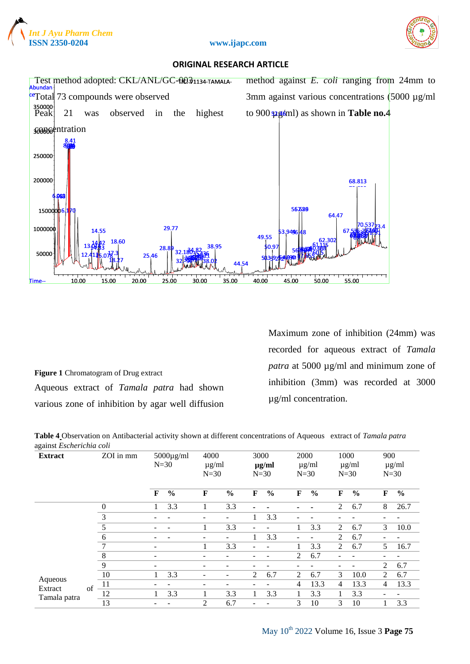



#### **ISSN 2350-0204 www.ijapc.com**

#### **ORIGINAL RESEARCH ARTICLE**



**Figure 1** Chromatogram of Drug extract Aqueous extract of *Tamala patra* had shown various zone of inhibition by agar well diffusion Maximum zone of inhibition (24mm) was recorded for aqueous extract of *Tamala patra* at 5000 µg/ml and minimum zone of inhibition (3mm) was recorded at 3000 µg/ml concentration.

**Table 4** Observation on Antibacterial activity shown at different concentrations of Aqueous extract of *Tamala patra* against *Escherichia coli*

| ~<br><b>Extract</b> |    | ZOI in mm        |                          | $5000\mu\text{g/ml}$<br>$N=30$ | 4000<br>$\mu$ g/ml<br>$N=30$ |               | 3000                     | $\mu$ g/ml<br>$N=30$ | 2000           | $\mu$ g/ml<br>$N=30$ | 1000<br>$N=30$ | $\mu$ g/ml    | 900 | $\mu$ g/ml<br>$N=30$ |   |     |
|---------------------|----|------------------|--------------------------|--------------------------------|------------------------------|---------------|--------------------------|----------------------|----------------|----------------------|----------------|---------------|-----|----------------------|---|-----|
|                     |    |                  | $\mathbf F$              | $\frac{0}{0}$                  | F                            | $\frac{0}{0}$ | F                        | $\frac{0}{0}$        | F              | $\frac{0}{0}$        | F              | $\frac{0}{0}$ | F   | $\frac{0}{0}$        |   |     |
|                     |    | $\boldsymbol{0}$ |                          | 3.3                            |                              | 3.3           | $\blacksquare$           |                      |                |                      | 2              | 6.7           | 8   | 26.7                 |   |     |
|                     |    | 3                |                          |                                |                              |               |                          | 3.3                  |                |                      |                |               |     |                      |   |     |
|                     |    | 5                |                          |                                |                              | 3.3           | $\overline{\phantom{a}}$ |                      |                | 3.3                  | $\mathfrak{D}$ | 6.7           | 3   | 10.0                 |   |     |
|                     |    | 6                |                          |                                |                              |               |                          | 3.3                  |                |                      | $\mathfrak{D}$ | 6.7           |     |                      |   |     |
|                     |    | 7                | -                        |                                |                              | 3.3           | ۰                        |                      |                | 3.3                  | 2              | 6.7           | 5   | 16.7                 |   |     |
|                     |    | 8                | $\overline{\phantom{a}}$ |                                |                              |               |                          |                      | $\mathfrak{D}$ | 6.7                  |                |               |     |                      |   |     |
|                     |    | 9                | ۰                        |                                |                              |               |                          |                      |                |                      |                |               | 2   | 6.7                  |   |     |
|                     |    |                  |                          | 10                             |                              | 3.3           |                          |                      | 2              | 6.7                  | 2              | 6.7           | 3   | 10.0                 | 2 | 6.7 |
| Aqueous<br>Extract  | of | 11               |                          |                                |                              |               |                          |                      | 4              | 13.3                 | 4              | 13.3          | 4   | 13.3                 |   |     |
| Tamala patra        |    | 12               |                          | 3.3                            |                              | 3.3           |                          | 3.3                  |                | 3.3                  |                | 3.3           |     |                      |   |     |
|                     |    | 13               |                          |                                | $\overline{2}$               | 6.7           |                          |                      | 3              | 10                   | 3              | 10            |     | 3.3                  |   |     |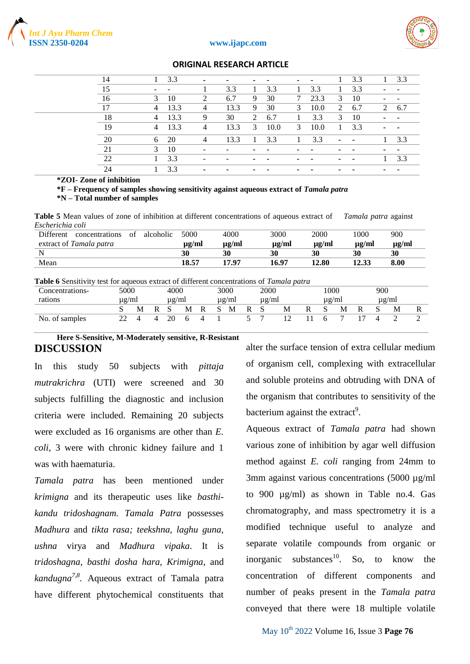



| 14 |                          | 3.3  |                          | ۰    |    | ٠                        | ٠      | ۰    |    | 3.3                      |   | 3.3                      |
|----|--------------------------|------|--------------------------|------|----|--------------------------|--------|------|----|--------------------------|---|--------------------------|
| 15 | $\overline{\phantom{a}}$ |      |                          | 3.3  |    | 3.3                      |        | 3.3  |    | 3.3                      |   |                          |
| 16 | 3                        | 10   | 2                        | 6.7  | 9  | 30                       | $\tau$ | 23.3 | 3  | 10                       |   |                          |
| 17 | 4                        | 13.3 | $\overline{4}$           | 13.3 | 9  | 30                       | 3      | 10.0 | 2  | 6.7                      | 2 | 6.7                      |
| 18 | 4                        | 13.3 | 9                        | 30   | 2  | 6.7                      |        | 3.3  | 3  | 10                       |   |                          |
| 19 | 4                        | 13.3 | $\overline{4}$           | 13.3 | 3  | 10.0                     | 3      | 10.0 | 1  | 3.3                      |   | $\sim$                   |
| 20 | 6                        | 20   | $\overline{4}$           | 13.3 | -1 | 3.3                      |        | 3.3  | ٠  | $\blacksquare$           |   | 3.3                      |
| 21 | 3                        | 10   | $\overline{\phantom{0}}$ |      |    |                          |        | ٠    |    | $\overline{\phantom{a}}$ |   | $\overline{\phantom{0}}$ |
| 22 |                          | 3.3  |                          |      |    | $\overline{\phantom{a}}$ |        |      | ۰. | $\blacksquare$           |   | 3.3                      |
| 24 |                          | 3.3  |                          |      |    |                          |        |      |    |                          |   |                          |

#### **\*ZOI- Zone of inhibition**

**\*F – Frequency of samples showing sensitivity against aqueous extract of** *Tamala patra* **\*N – Total number of samples**

**Table 5** Mean values of zone of inhibition at different concentrations of aqueous extract of *Tamala patra* against *Escherichia coli*

| extract of Tamala patra<br>$\mu$ g/ml<br>$\mu$ g/ml<br>ug/ml<br>$\mu$ g/ml<br>$\mu$ g/ml<br>$\mu$ g/ml<br>30<br>30<br>30<br>30<br>30<br>30 | Different | concentrations | of | alcoholic | 5000  | 4000  | 3000  | 2000  | 1000  | 900  |
|--------------------------------------------------------------------------------------------------------------------------------------------|-----------|----------------|----|-----------|-------|-------|-------|-------|-------|------|
|                                                                                                                                            |           |                |    |           |       |       |       |       |       |      |
|                                                                                                                                            |           |                |    |           |       |       |       |       |       |      |
|                                                                                                                                            | Mean      |                |    |           | 18.57 | 17.97 | 16.97 | 12.80 | 12.33 | 8.00 |

| <b>Table 6</b> Sensitivity test for aqueous extract of different concentrations of <i>Tamala patra</i> |       |   |            |   |   |              |            |    |            |   |            |   |     |            |  |
|--------------------------------------------------------------------------------------------------------|-------|---|------------|---|---|--------------|------------|----|------------|---|------------|---|-----|------------|--|
| Concentrations-                                                                                        | 5000  |   | 4000       |   |   |              | 3000       |    | 2000       |   | 1000       |   | 900 |            |  |
| rations                                                                                                | ug/ml |   | $\mu$ g/ml |   |   |              | $\mu$ g/ml |    | $\mu$ g/ml |   | $\mu$ g/ml |   |     | $\mu$ g/ml |  |
|                                                                                                        |       | М |            | M | R | $\mathbf{S}$ | M          | R. | - S        | M |            | М |     | M          |  |
| No. of samples                                                                                         |       |   | 20         |   |   |              |            |    |            |   |            |   |     |            |  |

#### **Here S-Sensitive, M-Moderately sensitive, R-Resistant DISCUSSION**

In this study 50 subjects with *pittaja mutrakrichra* (UTI) were screened and 30 subjects fulfilling the diagnostic and inclusion criteria were included. Remaining 20 subjects were excluded as 16 organisms are other than *E. coli*, 3 were with chronic kidney failure and 1 was with haematuria.

*Tamala patra* has been mentioned under *krimigna* and its therapeutic uses like *basthikandu tridoshagnam. Tamala Patra* possesses *Madhura* and *tikta rasa; teekshna, laghu guna, ushna* virya and *Madhura vipaka*. It is *tridoshagna, basthi dosha hara, Krimigna*, and *kandugna7,8 .* Aqueous extract of Tamala patra have different phytochemical constituents that

alter the surface tension of extra cellular medium of organism cell, complexing with extracellular and soluble proteins and obtruding with DNA of the organism that contributes to sensitivity of the bacterium against the extract<sup>9</sup>.

Aqueous extract of *Tamala patra* had shown various zone of inhibition by agar well diffusion method against *E. coli* ranging from 24mm to 3mm against various concentrations (5000 µg/ml) to 900 µg/ml) as shown in Table no.4. Gas chromatography, and mass spectrometry it is a modified technique useful to analyze and separate volatile compounds from organic or inorganic substances<sup>10</sup>. So, to know the concentration of different components and number of peaks present in the *Tamala patra* conveyed that there were 18 multiple volatile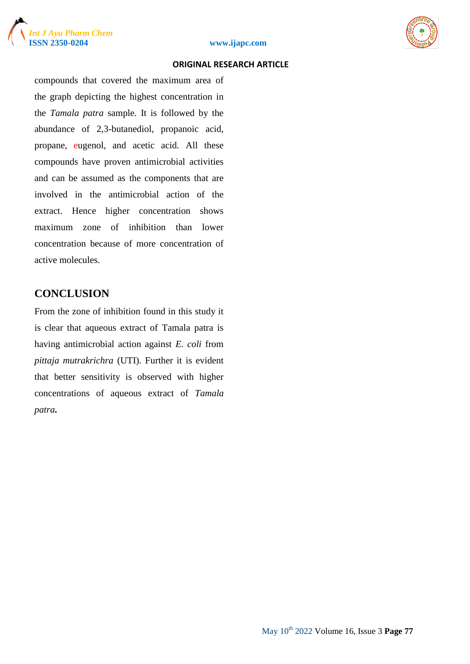





compounds that covered the maximum area of the graph depicting the highest concentration in the *Tamala patra* sample. It is followed by the abundance of 2,3-butanediol, propanoic acid, propane, eugenol, and acetic acid. All these compounds have proven antimicrobial activities and can be assumed as the components that are involved in the antimicrobial action of the extract. Hence higher concentration shows maximum zone of inhibition than lower concentration because of more concentration of active molecules.

#### **CONCLUSION**

From the zone of inhibition found in this study it is clear that aqueous extract of Tamala patra is having antimicrobial action against *E. coli* from *pittaja mutrakrichra* (UTI). Further it is evident that better sensitivity is observed with higher concentrations of aqueous extract of *Tamala patra.*